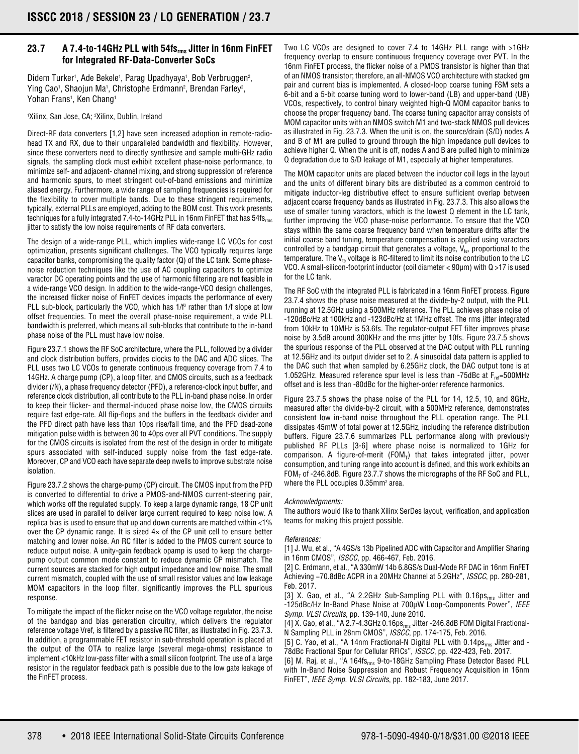## **23.7 A 7.4-to-14GHz PLL with 54fsrms Jitter in 16nm FinFET for Integrated RF-Data-Converter SoCs**

Didem Turker<sup>1</sup>, Ade Bekele<sup>1</sup>, Parag Upadhyaya<sup>1</sup>, Bob Verbruggen<sup>2</sup>, Ying Cao', Shaojun Ma', Christophe Erdmann<sup>2</sup>, Brendan Farley<sup>2</sup>, Yohan Frans1, Ken Chang1

1 Xilinx, San Jose, CA; 2 Xilinx, Dublin, Ireland

Direct-RF data converters [1,2] have seen increased adoption in remote-radiohead TX and RX, due to their unparalleled bandwidth and flexibility. However, since these converters need to directly synthesize and sample multi-GHz radio signals, the sampling clock must exhibit excellent phase-noise performance, to minimize self- and adjacent- channel mixing, and strong suppression of reference and harmonic spurs, to meet stringent out-of-band emissions and minimize aliased energy. Furthermore, a wide range of sampling frequencies is required for the flexibility to cover multiple bands. Due to these stringent requirements, typically, external PLLs are employed, adding to the BOM cost. This work presents techniques for a fully integrated 7.4-to-14GHz PLL in 16nm FinFET that has 54fs<sub>rms</sub> jitter to satisfy the low noise requirements of RF data converters.

The design of a wide-range PLL, which implies wide-range LC VCOs for cost optimization, presents significant challenges. The VCO typically requires large capacitor banks, compromising the quality factor (Q) of the LC tank. Some phasenoise reduction techniques like the use of AC coupling capacitors to optimize varactor DC operating points and the use of harmonic filtering are not feasible in a wide-range VCO design. In addition to the wide-range-VCO design challenges, the increased flicker noise of FinFET devices impacts the performance of every PLL sub-block, particularly the VCO, which has  $1/f<sup>3</sup>$  rather than  $1/f$  slope at low offset frequencies. To meet the overall phase-noise requirement, a wide PLL bandwidth is preferred, which means all sub-blocks that contribute to the in-band phase noise of the PLL must have low noise.

Figure 23.7.1 shows the RF SoC architecture, where the PLL, followed by a divider and clock distribution buffers, provides clocks to the DAC and ADC slices. The PLL uses two LC VCOs to generate continuous frequency coverage from 7.4 to 14GHz. A charge pump (CP), a loop filter, and CMOS circuits, such as a feedback divider (/N), a phase frequency detector (PFD), a reference-clock input buffer, and reference clock distribution, all contribute to the PLL in-band phase noise. In order to keep their flicker- and thermal-induced phase noise low, the CMOS circuits require fast edge-rate. All flip-flops and the buffers in the feedback divider and the PFD direct path have less than 10ps rise/fall time, and the PFD dead-zone mitigation pulse width is between 30 to 40ps over all PVT conditions. The supply for the CMOS circuits is isolated from the rest of the design in order to mitigate spurs associated with self-induced supply noise from the fast edge-rate. Moreover, CP and VCO each have separate deep nwells to improve substrate noise isolation.

Figure 23.7.2 shows the charge-pump (CP) circuit. The CMOS input from the PFD is converted to differential to drive a PMOS-and-NMOS current-steering pair, which works off the regulated supply. To keep a large dynamic range, 18 CP unit slices are used in parallel to deliver large current required to keep noise low. A replica bias is used to ensure that up and down currents are matched within <1% over the CP dynamic range. It is sized 4× of the CP unit cell to ensure better matching and lower noise. An RC filter is added to the PMOS current source to reduce output noise. A unity-gain feedback opamp is used to keep the chargepump output common mode constant to reduce dynamic CP mismatch. The current sources are stacked for high output impedance and low noise. The small current mismatch, coupled with the use of small resistor values and low leakage MOM capacitors in the loop filter, significantly improves the PLL spurious response.

To mitigate the impact of the flicker noise on the VCO voltage regulator, the noise of the bandgap and bias generation circuitry, which delivers the regulator reference voltage Vref, is filtered by a passive RC filter, as illustrated in Fig. 23.7.3. In addition, a programmable FET resistor in sub-threshold operation is placed at the output of the OTA to realize large (several mega-ohms) resistance to implement <10kHz low-pass filter with a small silicon footprint. The use of a large resistor in the regulator feedback path is possible due to the low gate leakage of the FinFET process.

Two LC VCOs are designed to cover 7.4 to 14GHz PLL range with >1GHz frequency overlap to ensure continuous frequency coverage over PVT. In the 16nm FinFET process, the flicker noise of a PMOS transistor is higher than that of an NMOS transistor; therefore, an all-NMOS VCO architecture with stacked gm pair and current bias is implemented. A closed-loop coarse tuning FSM sets a 6-bit and a 5-bit coarse tuning word to lower-band (LB) and upper-band (UB) VCOs, respectively, to control binary weighted high-Q MOM capacitor banks to choose the proper frequency band. The coarse tuning capacitor array consists of MOM capacitor units with an NMOS switch M1 and two-stack NMOS pull devices as illustrated in Fig. 23.7.3. When the unit is on, the source/drain (S/D) nodes A and B of M1 are pulled to ground through the high impedance pull devices to achieve higher Q. When the unit is off, nodes A and B are pulled high to minimize Q degradation due to S/D leakage of M1, especially at higher temperatures.

The MOM capacitor units are placed between the inductor coil legs in the layout and the units of different binary bits are distributed as a common centroid to mitigate inductor-leg distributive effect to ensure sufficient overlap between adjacent coarse frequency bands as illustrated in Fig. 23.7.3. This also allows the use of smaller tuning varactors, which is the lowest Q element in the LC tank, further improving the VCO phase-noise performance. To ensure that the VCO stays within the same coarse frequency band when temperature drifts after the initial coarse band tuning, temperature compensation is applied using varactors controlled by a bandgap circuit that generates a voltage,  $V_{te}$ , proportional to the temperature. The  $V_{te}$  voltage is RC-filtered to limit its noise contribution to the LC VCO. A small-silicon-footprint inductor (coil diameter < 90μm) with Q >17 is used for the LC tank.

The RF SoC with the integrated PLL is fabricated in a 16nm FinFET process. Figure 23.7.4 shows the phase noise measured at the divide-by-2 output, with the PLL running at 12.5GHz using a 500MHz reference. The PLL achieves phase noise of -120dBc/Hz at 100kHz and -123dBc/Hz at 1MHz offset. The rms jitter integrated from 10kHz to 10MHz is 53.6fs. The regulator-output FET filter improves phase noise by 3.5dB around 300KHz and the rms jitter by 10fs. Figure 23.7.5 shows the spurious response of the PLL observed at the DAC output with PLL running at 12.5GHz and its output divider set to 2. A sinusoidal data pattern is applied to the DAC such that when sampled by 6.25GHz clock, the DAC output tone is at 1.052GHz. Measured reference spur level is less than -75dBc at  $F_{ref}=500MHz$ offset and is less than -80dBc for the higher-order reference harmonics.

Figure 23.7.5 shows the phase noise of the PLL for 14, 12.5, 10, and 8GHz, measured after the divide-by-2 circuit, with a 500MHz reference, demonstrates consistent low in-band noise throughout the PLL operation range. The PLL dissipates 45mW of total power at 12.5GHz, including the reference distribution buffers. Figure 23.7.6 summarizes PLL performance along with previously published RF PLLs [3-6] where phase noise is normalized to 1GHz for comparison. A figure-of-merit (FOM<sub>T</sub>) that takes integrated jitter, power consumption, and tuning range into account is defined, and this work exhibits an FOM<sub>T</sub> of -246.8dB. Figure 23.7.7 shows the micrographs of the RF SoC and PLL, where the PLL occupies 0.35mm<sup>2</sup> area.

## Acknowledgments:

The authors would like to thank Xilinx SerDes layout, verification, and application teams for making this project possible.

## References:

[1] J. Wu, et al., "A 4GS/s 13b Pipelined ADC with Capacitor and Amplifier Sharing in 16nm CMOS", ISSCC, pp. 466-467, Feb. 2016.

[2] C. Erdmann, et al., "A 330mW 14b 6.8GS/s Dual-Mode RF DAC in 16nm FinFET Achieving −70.8dBc ACPR in a 20MHz Channel at 5.2GHz", ISSCC, pp. 280-281, Feb. 2017.

[3] X. Gao, et al., "A 2.2GHz Sub-Sampling PLL with 0.16ps<sub>rms</sub> Jitter and -125dBc/Hz In-Band Phase Noise at 700μW Loop-Components Power", IEEE Symp. VLSI Circuits, pp. 139-140, June 2010.

[4] X. Gao, et al., "A 2.7-4.3GHz 0.16ps<sub>rms</sub> Jitter -246.8dB FOM Digital Fractional-N Sampling PLL in 28nm CMOS", ISSCC, pp. 174-175, Feb. 2016.

[5] C. Yao, et al., "A 14nm Fractional-N Digital PLL with  $0.14 \text{ps}_{rms}$  Jitter and -78dBc Fractional Spur for Cellular RFICs", ISSCC, pp. 422-423, Feb. 2017.

[6] M. Raj, et al., "A 164fs<sub>rms</sub> 9-to-18GHz Sampling Phase Detector Based PLL with In-Band Noise Suppression and Robust Frequency Acquisition in 16nm FinFET", IEEE Symp. VLSI Circuits, pp. 182-183, June 2017.